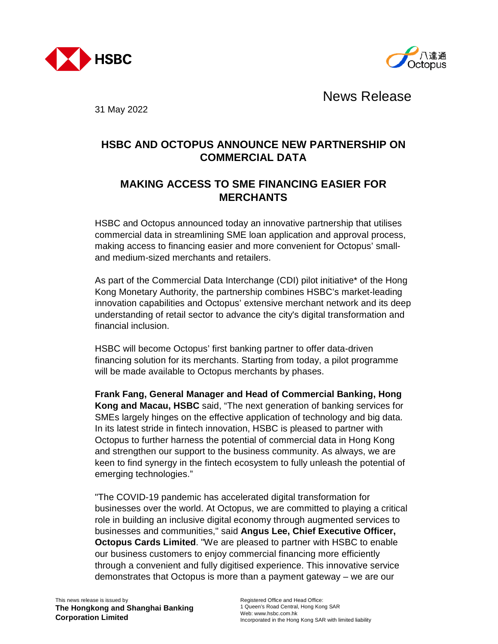



News Release

31 May 2022

## **HSBC AND OCTOPUS ANNOUNCE NEW PARTNERSHIP ON COMMERCIAL DATA**

## **MAKING ACCESS TO SME FINANCING EASIER FOR MERCHANTS**

HSBC and Octopus announced today an innovative partnership that utilises commercial data in streamlining SME loan application and approval process, making access to financing easier and more convenient for Octopus' smalland medium-sized merchants and retailers.

As part of the Commercial Data Interchange (CDI) pilot initiative\* of the Hong Kong Monetary Authority, the partnership combines HSBC's market-leading innovation capabilities and Octopus' extensive merchant network and its deep understanding of retail sector to advance the city's digital transformation and financial inclusion.

HSBC will become Octopus' first banking partner to offer data-driven financing solution for its merchants. Starting from today, a pilot programme will be made available to Octopus merchants by phases.

**Frank Fang, General Manager and Head of Commercial Banking, Hong Kong and Macau, HSBC** said, "The next generation of banking services for SMEs largely hinges on the effective application of technology and big data. In its latest stride in fintech innovation, HSBC is pleased to partner with Octopus to further harness the potential of commercial data in Hong Kong and strengthen our support to the business community. As always, we are keen to find synergy in the fintech ecosystem to fully unleash the potential of emerging technologies."

"The COVID-19 pandemic has accelerated digital transformation for businesses over the world. At Octopus, we are committed to playing a critical role in building an inclusive digital economy through augmented services to businesses and communities," said **Angus Lee, Chief Executive Officer, Octopus Cards Limited**. "We are pleased to partner with HSBC to enable our business customers to enjoy commercial financing more efficiently through a convenient and fully digitised experience. This innovative service demonstrates that Octopus is more than a payment gateway – we are our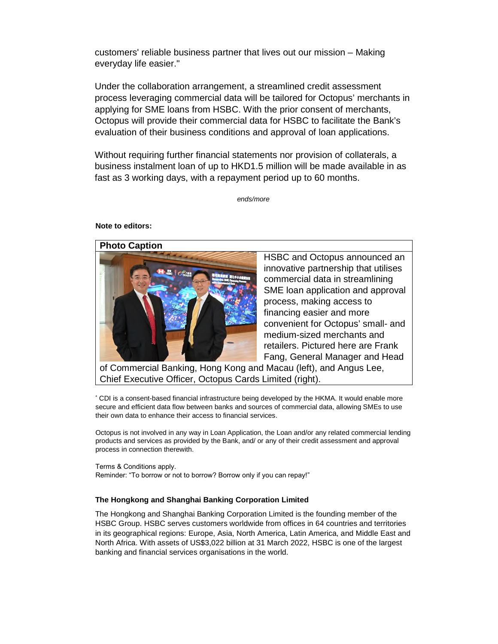customers' reliable business partner that lives out our mission – Making everyday life easier."

Under the collaboration arrangement, a streamlined credit assessment process leveraging commercial data will be tailored for Octopus' merchants in applying for SME loans from HSBC. With the prior consent of merchants, Octopus will provide their commercial data for HSBC to facilitate the Bank's evaluation of their business conditions and approval of loan applications.

Without requiring further financial statements nor provision of collaterals, a business instalment loan of up to HKD1.5 million will be made available in as fast as 3 working days, with a repayment period up to 60 months.

*ends/more*

## **Note to editors:**



HSBC and Octopus announced an innovative partnership that utilises commercial data in streamlining SME loan application and approval process, making access to financing easier and more convenient for Octopus' small- and medium-sized merchants and retailers. Pictured here are Frank Fang, General Manager and Head

of Commercial Banking, Hong Kong and Macau (left), and Angus Lee, Chief Executive Officer, Octopus Cards Limited (right).

CDI is a consent-based financial infrastructure being developed by the HKMA. It would enable more secure and efficient data flow between banks and sources of commercial data, allowing SMEs to use their own data to enhance their access to financial services.

Octopus is not involved in any way in Loan Application, the Loan and/or any related commercial lending products and services as provided by the Bank, and/ or any of their credit assessment and approval process in connection therewith.

Terms & Conditions apply. Reminder: "To borrow or not to borrow? Borrow only if you can repay!"

## **The Hongkong and Shanghai Banking Corporation Limited**

The Hongkong and Shanghai Banking Corporation Limited is the founding member of the HSBC Group. HSBC serves customers worldwide from offices in 64 countries and territories in its geographical regions: Europe, Asia, North America, Latin America, and Middle East and North Africa. With assets of US\$3,022 billion at 31 March 2022, HSBC is one of the largest banking and financial services organisations in the world.